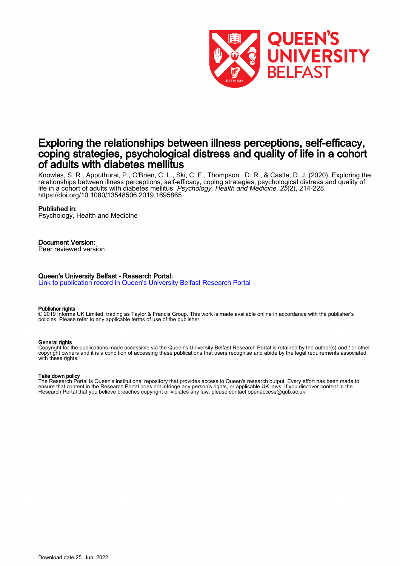

# Exploring the relationships between illness perceptions, self-efficacy, coping strategies, psychological distress and quality of life in a cohort of adults with diabetes mellitus

Knowles, S. R., Apputhurai, P., O'Brien, C. L., Ski, C. F., Thompson , D. R., & Castle, D. J. (2020). Exploring the relationships between illness perceptions, self-efficacy, coping strategies, psychological distress and quality of life in a cohort of adults with diabetes mellitus. Psychology, Health and Medicine, 25(2), 214-228. <https://doi.org/10.1080/13548506.2019.1695865>

#### Published in:

Psychology, Health and Medicine

#### Document Version:

Peer reviewed version

#### Queen's University Belfast - Research Portal:

[Link to publication record in Queen's University Belfast Research Portal](https://pure.qub.ac.uk/en/publications/d682cb43-f2db-4a3a-acf4-2b2b060a8599)

#### Publisher rights

© 2019 Informa UK Limited, trading as Taylor & Francis Group. This work is made available online in accordance with the publisher's policies. Please refer to any applicable terms of use of the publisher.

#### General rights

Copyright for the publications made accessible via the Queen's University Belfast Research Portal is retained by the author(s) and / or other copyright owners and it is a condition of accessing these publications that users recognise and abide by the legal requirements associated with these rights.

#### Take down policy

The Research Portal is Queen's institutional repository that provides access to Queen's research output. Every effort has been made to ensure that content in the Research Portal does not infringe any person's rights, or applicable UK laws. If you discover content in the Research Portal that you believe breaches copyright or violates any law, please contact openaccess@qub.ac.uk.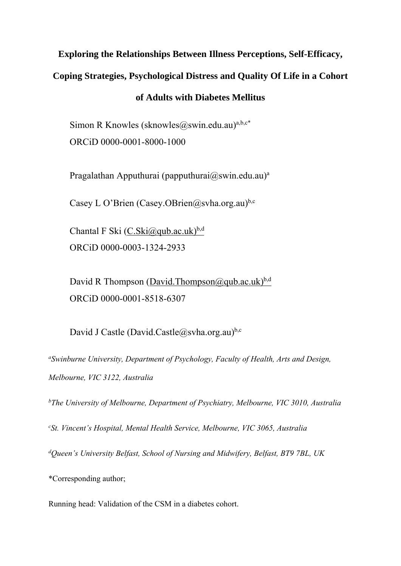# **Exploring the Relationships Between Illness Perceptions, Self-Efficacy,**

**Coping Strategies, Psychological Distress and Quality Of Life in a Cohort** 

## **of Adults with Diabetes Mellitus**

Simon R Knowles (sknowles  $(a)$ swin.edu.au)<sup>a,b,c\*</sup> ORCiD 0000-0001-8000-1000

Pragalathan Apputhurai (papputhurai $(\partial s$ win.edu.au)<sup>a</sup>

Casey L O'Brien (Casey.OBrien@svha.org.au)<sup>b,c</sup>

Chantal F Ski  $(C.Ski@qub.ac.uk)^{b,d}$ ORCiD 0000-0003-1324-2933

David R Thompson (David.Thompson  $(\partial_t qab \cdot ac \cdot uk)^{b,d}$ ORCiD 0000-0001-8518-6307

David J Castle (David.Castle@svha.org.au)<sup>b,c</sup>

*aSwinburne University, Department of Psychology, Faculty of Health, Arts and Design, Melbourne, VIC 3122, Australia* 

*bThe University of Melbourne, Department of Psychiatry, Melbourne, VIC 3010, Australia* 

*c St. Vincent's Hospital, Mental Health Service, Melbourne, VIC 3065, Australia* 

*d Queen's University Belfast, School of Nursing and Midwifery, Belfast, BT9 7BL, UK* 

\*Corresponding author;

Running head: Validation of the CSM in a diabetes cohort.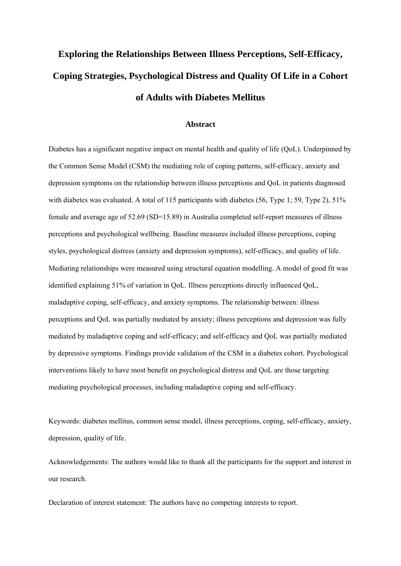# **Exploring the Relationships Between Illness Perceptions, Self-Efficacy, Coping Strategies, Psychological Distress and Quality Of Life in a Cohort of Adults with Diabetes Mellitus**

#### **Abstract**

Diabetes has a significant negative impact on mental health and quality of life (QoL). Underpinned by the Common Sense Model (CSM) the mediating role of coping patterns, self-efficacy, anxiety and depression symptoms on the relationship between illness perceptions and QoL in patients diagnosed with diabetes was evaluated. A total of 115 participants with diabetes (56, Type 1; 59, Type 2), 51% female and average age of 52.69 (SD=15.89) in Australia completed self-report measures of illness perceptions and psychological wellbeing. Baseline measures included illness perceptions, coping styles, psychological distress (anxiety and depression symptoms), self-efficacy, and quality of life. Mediating relationships were measured using structural equation modelling. A model of good fit was identified explaining 51% of variation in QoL. Illness perceptions directly influenced QoL, maladaptive coping, self-efficacy, and anxiety symptoms. The relationship between: illness perceptions and QoL was partially mediated by anxiety; illness perceptions and depression was fully mediated by maladaptive coping and self-efficacy; and self-efficacy and QoL was partially mediated by depressive symptoms. Findings provide validation of the CSM in a diabetes cohort. Psychological interventions likely to have most benefit on psychological distress and QoL are those targeting mediating psychological processes, including maladaptive coping and self-efficacy.

Keywords: diabetes mellitus, common sense model, illness perceptions, coping, self-efficacy, anxiety, depression, quality of life.

Acknowledgements: The authors would like to thank all the participants for the support and interest in our research.

Declaration of interest statement: The authors have no competing interests to report.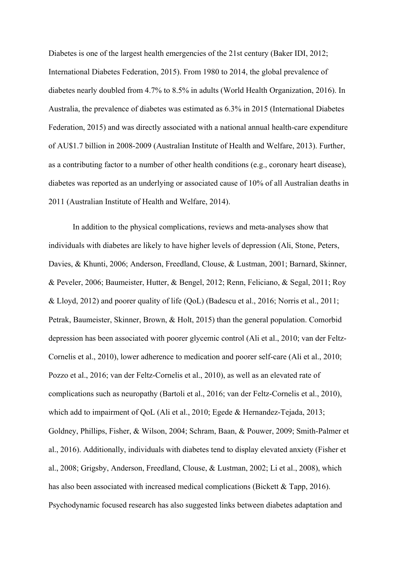Diabetes is one of the largest health emergencies of the 21st century (Baker IDI, 2012; International Diabetes Federation, 2015). From 1980 to 2014, the global prevalence of diabetes nearly doubled from 4.7% to 8.5% in adults (World Health Organization, 2016). In Australia, the prevalence of diabetes was estimated as 6.3% in 2015 (International Diabetes Federation, 2015) and was directly associated with a national annual health-care expenditure of AU\$1.7 billion in 2008-2009 (Australian Institute of Health and Welfare, 2013). Further, as a contributing factor to a number of other health conditions (e.g., coronary heart disease), diabetes was reported as an underlying or associated cause of 10% of all Australian deaths in 2011 (Australian Institute of Health and Welfare, 2014).

 In addition to the physical complications, reviews and meta-analyses show that individuals with diabetes are likely to have higher levels of depression (Ali, Stone, Peters, Davies, & Khunti, 2006; Anderson, Freedland, Clouse, & Lustman, 2001; Barnard, Skinner, & Peveler, 2006; Baumeister, Hutter, & Bengel, 2012; Renn, Feliciano, & Segal, 2011; Roy & Lloyd, 2012) and poorer quality of life (QoL) (Badescu et al., 2016; Norris et al., 2011; Petrak, Baumeister, Skinner, Brown, & Holt, 2015) than the general population. Comorbid depression has been associated with poorer glycemic control (Ali et al., 2010; van der Feltz-Cornelis et al., 2010), lower adherence to medication and poorer self-care (Ali et al., 2010; Pozzo et al., 2016; van der Feltz-Cornelis et al., 2010), as well as an elevated rate of complications such as neuropathy (Bartoli et al., 2016; van der Feltz-Cornelis et al., 2010), which add to impairment of QoL (Ali et al., 2010; Egede & Hernandez-Tejada, 2013; Goldney, Phillips, Fisher, & Wilson, 2004; Schram, Baan, & Pouwer, 2009; Smith-Palmer et al., 2016). Additionally, individuals with diabetes tend to display elevated anxiety (Fisher et al., 2008; Grigsby, Anderson, Freedland, Clouse, & Lustman, 2002; Li et al., 2008), which has also been associated with increased medical complications (Bickett & Tapp, 2016). Psychodynamic focused research has also suggested links between diabetes adaptation and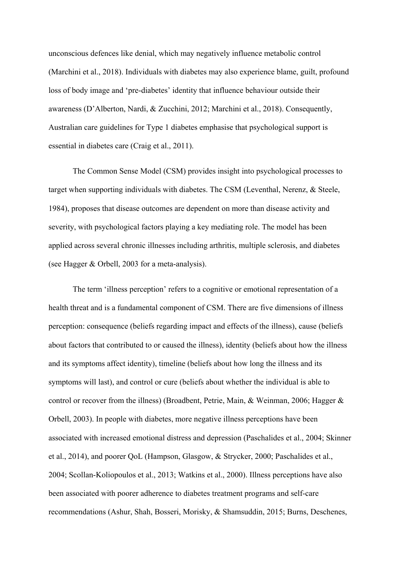unconscious defences like denial, which may negatively influence metabolic control (Marchini et al., 2018). Individuals with diabetes may also experience blame, guilt, profound loss of body image and 'pre-diabetes' identity that influence behaviour outside their awareness (D'Alberton, Nardi, & Zucchini, 2012; Marchini et al., 2018). Consequently, Australian care guidelines for Type 1 diabetes emphasise that psychological support is essential in diabetes care (Craig et al., 2011).

 The Common Sense Model (CSM) provides insight into psychological processes to target when supporting individuals with diabetes. The CSM (Leventhal, Nerenz, & Steele, 1984), proposes that disease outcomes are dependent on more than disease activity and severity, with psychological factors playing a key mediating role. The model has been applied across several chronic illnesses including arthritis, multiple sclerosis, and diabetes (see Hagger & Orbell, 2003 for a meta-analysis).

 The term 'illness perception' refers to a cognitive or emotional representation of a health threat and is a fundamental component of CSM. There are five dimensions of illness perception: consequence (beliefs regarding impact and effects of the illness), cause (beliefs about factors that contributed to or caused the illness), identity (beliefs about how the illness and its symptoms affect identity), timeline (beliefs about how long the illness and its symptoms will last), and control or cure (beliefs about whether the individual is able to control or recover from the illness) (Broadbent, Petrie, Main, & Weinman, 2006; Hagger & Orbell, 2003). In people with diabetes, more negative illness perceptions have been associated with increased emotional distress and depression (Paschalides et al., 2004; Skinner et al., 2014), and poorer QoL (Hampson, Glasgow, & Strycker, 2000; Paschalides et al., 2004; Scollan-Koliopoulos et al., 2013; Watkins et al., 2000). Illness perceptions have also been associated with poorer adherence to diabetes treatment programs and self-care recommendations (Ashur, Shah, Bosseri, Morisky, & Shamsuddin, 2015; Burns, Deschenes,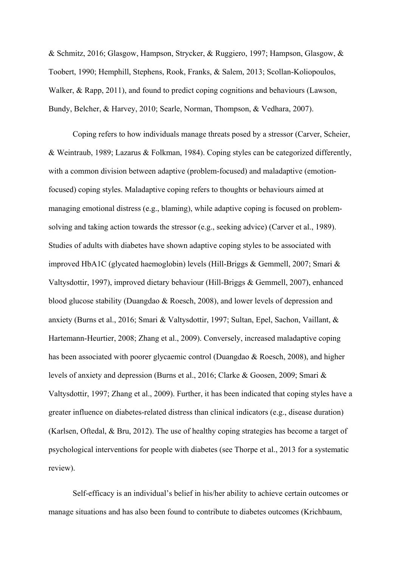& Schmitz, 2016; Glasgow, Hampson, Strycker, & Ruggiero, 1997; Hampson, Glasgow, & Toobert, 1990; Hemphill, Stephens, Rook, Franks, & Salem, 2013; Scollan-Koliopoulos, Walker, & Rapp, 2011), and found to predict coping cognitions and behaviours (Lawson, Bundy, Belcher, & Harvey, 2010; Searle, Norman, Thompson, & Vedhara, 2007).

 Coping refers to how individuals manage threats posed by a stressor (Carver, Scheier, & Weintraub, 1989; Lazarus & Folkman, 1984). Coping styles can be categorized differently, with a common division between adaptive (problem-focused) and maladaptive (emotionfocused) coping styles. Maladaptive coping refers to thoughts or behaviours aimed at managing emotional distress (e.g., blaming), while adaptive coping is focused on problemsolving and taking action towards the stressor (e.g., seeking advice) (Carver et al., 1989). Studies of adults with diabetes have shown adaptive coping styles to be associated with improved HbA1C (glycated haemoglobin) levels (Hill-Briggs & Gemmell, 2007; Smari & Valtysdottir, 1997), improved dietary behaviour (Hill-Briggs & Gemmell, 2007), enhanced blood glucose stability (Duangdao & Roesch, 2008), and lower levels of depression and anxiety (Burns et al., 2016; Smari & Valtysdottir, 1997; Sultan, Epel, Sachon, Vaillant, & Hartemann-Heurtier, 2008; Zhang et al., 2009). Conversely, increased maladaptive coping has been associated with poorer glycaemic control (Duangdao & Roesch, 2008), and higher levels of anxiety and depression (Burns et al., 2016; Clarke & Goosen, 2009; Smari & Valtysdottir, 1997; Zhang et al., 2009). Further, it has been indicated that coping styles have a greater influence on diabetes-related distress than clinical indicators (e.g., disease duration) (Karlsen, Oftedal, & Bru, 2012). The use of healthy coping strategies has become a target of psychological interventions for people with diabetes (see Thorpe et al., 2013 for a systematic review).

 Self-efficacy is an individual's belief in his/her ability to achieve certain outcomes or manage situations and has also been found to contribute to diabetes outcomes (Krichbaum,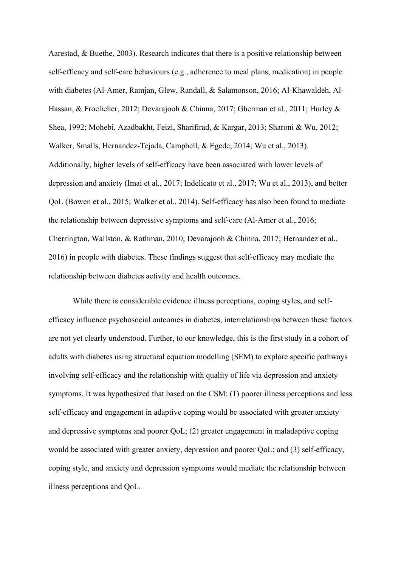Aarestad, & Buethe, 2003). Research indicates that there is a positive relationship between self-efficacy and self-care behaviours (e.g., adherence to meal plans, medication) in people with diabetes (Al-Amer, Ramjan, Glew, Randall, & Salamonson, 2016; Al-Khawaldeh, Al-Hassan, & Froelicher, 2012; Devarajooh & Chinna, 2017; Gherman et al., 2011; Hurley & Shea, 1992; Mohebi, Azadbakht, Feizi, Sharifirad, & Kargar, 2013; Sharoni & Wu, 2012; Walker, Smalls, Hernandez-Tejada, Campbell, & Egede, 2014; Wu et al., 2013). Additionally, higher levels of self-efficacy have been associated with lower levels of depression and anxiety (Imai et al., 2017; Indelicato et al., 2017; Wu et al., 2013), and better QoL (Bowen et al., 2015; Walker et al., 2014). Self-efficacy has also been found to mediate the relationship between depressive symptoms and self-care (Al-Amer et al., 2016; Cherrington, Wallston, & Rothman, 2010; Devarajooh & Chinna, 2017; Hernandez et al., 2016) in people with diabetes. These findings suggest that self-efficacy may mediate the relationship between diabetes activity and health outcomes.

 While there is considerable evidence illness perceptions, coping styles, and selfefficacy influence psychosocial outcomes in diabetes, interrelationships between these factors are not yet clearly understood. Further, to our knowledge, this is the first study in a cohort of adults with diabetes using structural equation modelling (SEM) to explore specific pathways involving self-efficacy and the relationship with quality of life via depression and anxiety symptoms. It was hypothesized that based on the CSM: (1) poorer illness perceptions and less self-efficacy and engagement in adaptive coping would be associated with greater anxiety and depressive symptoms and poorer QoL; (2) greater engagement in maladaptive coping would be associated with greater anxiety, depression and poorer QoL; and (3) self-efficacy, coping style, and anxiety and depression symptoms would mediate the relationship between illness perceptions and QoL.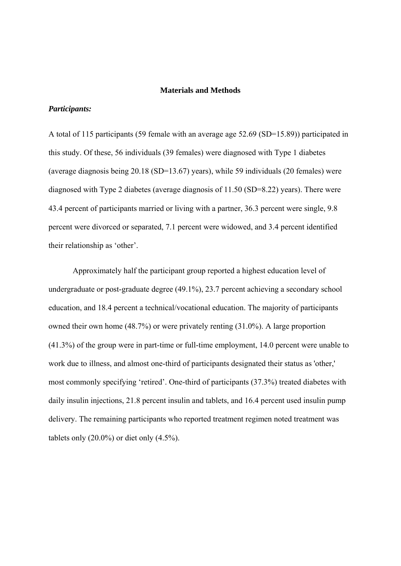#### **Materials and Methods**

## *Participants:*

A total of 115 participants (59 female with an average age 52.69 (SD=15.89)) participated in this study. Of these, 56 individuals (39 females) were diagnosed with Type 1 diabetes (average diagnosis being 20.18 (SD=13.67) years), while 59 individuals (20 females) were diagnosed with Type 2 diabetes (average diagnosis of 11.50 (SD=8.22) years). There were 43.4 percent of participants married or living with a partner, 36.3 percent were single, 9.8 percent were divorced or separated, 7.1 percent were widowed, and 3.4 percent identified their relationship as 'other'.

Approximately half the participant group reported a highest education level of undergraduate or post-graduate degree (49.1%), 23.7 percent achieving a secondary school education, and 18.4 percent a technical/vocational education. The majority of participants owned their own home (48.7%) or were privately renting (31.0%). A large proportion (41.3%) of the group were in part-time or full-time employment, 14.0 percent were unable to work due to illness, and almost one-third of participants designated their status as 'other,' most commonly specifying 'retired'. One-third of participants (37.3%) treated diabetes with daily insulin injections, 21.8 percent insulin and tablets, and 16.4 percent used insulin pump delivery. The remaining participants who reported treatment regimen noted treatment was tablets only  $(20.0\%)$  or diet only  $(4.5\%)$ .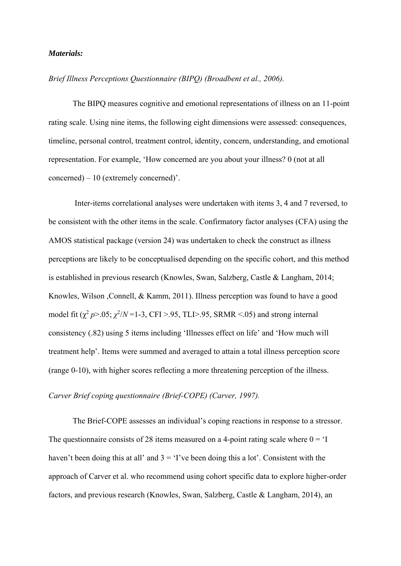### *Materials:*

## *Brief Illness Perceptions Questionnaire (BIPQ) (Broadbent et al., 2006).*

The BIPQ measures cognitive and emotional representations of illness on an 11-point rating scale. Using nine items, the following eight dimensions were assessed: consequences, timeline, personal control, treatment control, identity, concern, understanding, and emotional representation. For example, 'How concerned are you about your illness? 0 (not at all concerned) – 10 (extremely concerned)'.

 Inter-items correlational analyses were undertaken with items 3, 4 and 7 reversed, to be consistent with the other items in the scale. Confirmatory factor analyses (CFA) using the AMOS statistical package (version 24) was undertaken to check the construct as illness perceptions are likely to be conceptualised depending on the specific cohort, and this method is established in previous research (Knowles, Swan, Salzberg, Castle & Langham, 2014; Knowles, Wilson ,Connell, & Kamm, 2011). Illness perception was found to have a good model fit  $(\chi^2 p > 0.05; \chi^2/N = 1-3$ , CFI > .95, TLI > .95, SRMR < .05) and strong internal consistency (.82) using 5 items including 'Illnesses effect on life' and 'How much will treatment help'. Items were summed and averaged to attain a total illness perception score (range 0-10), with higher scores reflecting a more threatening perception of the illness.

# *Carver Brief coping questionnaire (Brief-COPE) (Carver, 1997).*

The Brief-COPE assesses an individual's coping reactions in response to a stressor. The questionnaire consists of 28 items measured on a 4-point rating scale where  $0 = 1$ haven't been doing this at all' and  $3 = 'I'$ ve been doing this a lot'. Consistent with the approach of Carver et al. who recommend using cohort specific data to explore higher-order factors, and previous research (Knowles, Swan, Salzberg, Castle & Langham, 2014), an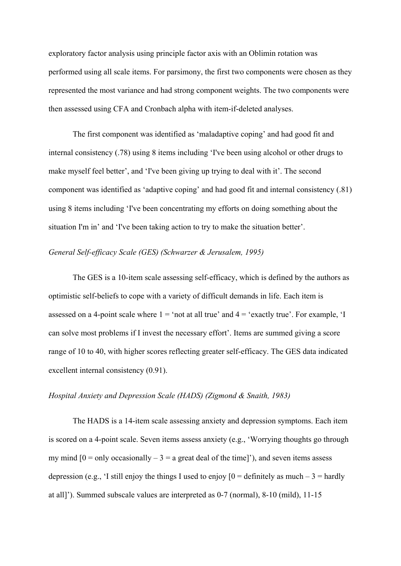exploratory factor analysis using principle factor axis with an Oblimin rotation was performed using all scale items. For parsimony, the first two components were chosen as they represented the most variance and had strong component weights. The two components were then assessed using CFA and Cronbach alpha with item-if-deleted analyses.

The first component was identified as 'maladaptive coping' and had good fit and internal consistency (.78) using 8 items including 'I've been using alcohol or other drugs to make myself feel better', and 'I've been giving up trying to deal with it'. The second component was identified as 'adaptive coping' and had good fit and internal consistency (.81) using 8 items including 'I've been concentrating my efforts on doing something about the situation I'm in' and 'I've been taking action to try to make the situation better'.

### *General Self-efficacy Scale (GES) (Schwarzer & Jerusalem, 1995)*

The GES is a 10-item scale assessing self-efficacy, which is defined by the authors as optimistic self-beliefs to cope with a variety of difficult demands in life. Each item is assessed on a 4-point scale where  $1 = \text{`not at all true' and } 4 = \text{`exactly true'. For example, 'I}$ can solve most problems if I invest the necessary effort'. Items are summed giving a score range of 10 to 40, with higher scores reflecting greater self-efficacy. The GES data indicated excellent internal consistency (0.91).

## *Hospital Anxiety and Depression Scale (HADS) (Zigmond & Snaith, 1983)*

The HADS is a 14-item scale assessing anxiety and depression symptoms. Each item is scored on a 4-point scale. Seven items assess anxiety (e.g., 'Worrying thoughts go through my mind  $[0 =$  only occasionally  $-3 =$  a great deal of the time]'), and seven items assess depression (e.g., 'I still enjoy the things I used to enjoy  $[0 =$  definitely as much – 3 = hardly at all]'). Summed subscale values are interpreted as 0-7 (normal), 8-10 (mild), 11-15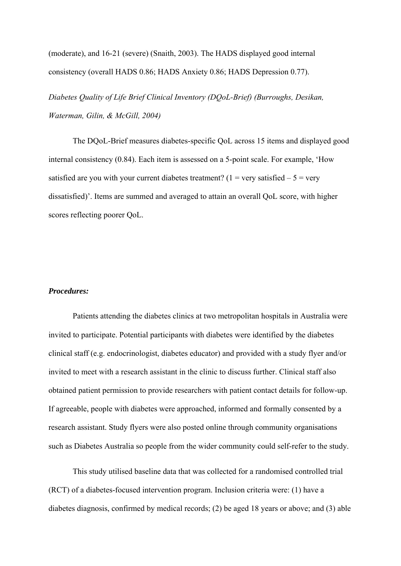(moderate), and 16-21 (severe) (Snaith, 2003). The HADS displayed good internal consistency (overall HADS 0.86; HADS Anxiety 0.86; HADS Depression 0.77).

*Diabetes Quality of Life Brief Clinical Inventory (DQoL-Brief) (Burroughs, Desikan, Waterman, Gilin, & McGill, 2004)* 

The DQoL-Brief measures diabetes-specific QoL across 15 items and displayed good internal consistency (0.84). Each item is assessed on a 5-point scale. For example, 'How satisfied are you with your current diabetes treatment? (1 = very satisfied  $-5$  = very dissatisfied)'. Items are summed and averaged to attain an overall QoL score, with higher scores reflecting poorer QoL.

## *Procedures:*

Patients attending the diabetes clinics at two metropolitan hospitals in Australia were invited to participate. Potential participants with diabetes were identified by the diabetes clinical staff (e.g. endocrinologist, diabetes educator) and provided with a study flyer and/or invited to meet with a research assistant in the clinic to discuss further. Clinical staff also obtained patient permission to provide researchers with patient contact details for follow-up. If agreeable, people with diabetes were approached, informed and formally consented by a research assistant. Study flyers were also posted online through community organisations such as Diabetes Australia so people from the wider community could self-refer to the study.

This study utilised baseline data that was collected for a randomised controlled trial (RCT) of a diabetes-focused intervention program. Inclusion criteria were: (1) have a diabetes diagnosis, confirmed by medical records; (2) be aged 18 years or above; and (3) able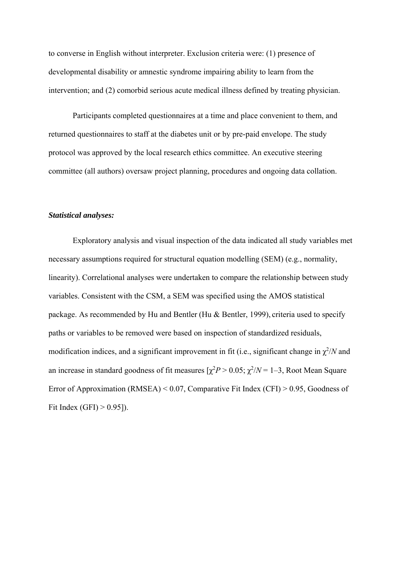to converse in English without interpreter. Exclusion criteria were: (1) presence of developmental disability or amnestic syndrome impairing ability to learn from the intervention; and (2) comorbid serious acute medical illness defined by treating physician.

Participants completed questionnaires at a time and place convenient to them, and returned questionnaires to staff at the diabetes unit or by pre-paid envelope. The study protocol was approved by the local research ethics committee. An executive steering committee (all authors) oversaw project planning, procedures and ongoing data collation.

#### *Statistical analyses:*

Exploratory analysis and visual inspection of the data indicated all study variables met necessary assumptions required for structural equation modelling (SEM) (e.g., normality, linearity). Correlational analyses were undertaken to compare the relationship between study variables. Consistent with the CSM, a SEM was specified using the AMOS statistical package. As recommended by Hu and Bentler (Hu & Bentler, 1999), criteria used to specify paths or variables to be removed were based on inspection of standardized residuals, modification indices, and a significant improvement in fit (i.e., significant change in  $\chi^2/N$  and an increase in standard goodness of fit measures  $[\chi^2 P > 0.05; \chi^2/N = 1-3$ , Root Mean Square Error of Approximation (RMSEA) < 0.07, Comparative Fit Index (CFI) > 0.95, Goodness of Fit Index (GFI)  $> 0.95$ ]).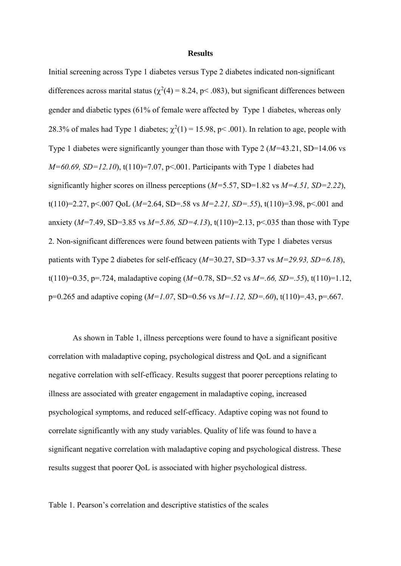#### **Results**

Initial screening across Type 1 diabetes versus Type 2 diabetes indicated non-significant differences across marital status ( $\chi^2(4) = 8.24$ , p< .083), but significant differences between gender and diabetic types (61% of female were affected by Type 1 diabetes, whereas only 28.3% of males had Type 1 diabetes;  $\chi^2(1) = 15.98$ , p< .001). In relation to age, people with Type 1 diabetes were significantly younger than those with Type 2 (*M=*43.21, SD=14.06 vs *M=60.69, SD=12.10*), t(110)=7.07, p<.001. Participants with Type 1 diabetes had significantly higher scores on illness perceptions (*M=*5.57, SD=1.82 vs *M=4.51, SD=2.22*), t(110)=2.27, p<.007 QoL (*M=*2.64, SD=.58 vs *M=2.21, SD=.55*), t(110)=3.98, p<.001 and anxiety (*M=*7.49, SD=3.85 vs *M=5.86, SD=4.13*), t(110)=2.13, p<.035 than those with Type 2. Non-significant differences were found between patients with Type 1 diabetes versus patients with Type 2 diabetes for self-efficacy (*M=*30.27, SD=3.37 vs *M=29.93, SD=6.18*), t(110)=0.35, p=.724, maladaptive coping (*M=*0.78, SD=.52 vs *M=.66, SD=.55*), t(110)=1.12, p=0.265 and adaptive coping (*M=1.07*, SD=0.56 vs *M=1.12, SD=.60*), t(110)=.43, p=.667.

As shown in Table 1, illness perceptions were found to have a significant positive correlation with maladaptive coping, psychological distress and QoL and a significant negative correlation with self-efficacy. Results suggest that poorer perceptions relating to illness are associated with greater engagement in maladaptive coping, increased psychological symptoms, and reduced self-efficacy. Adaptive coping was not found to correlate significantly with any study variables. Quality of life was found to have a significant negative correlation with maladaptive coping and psychological distress. These results suggest that poorer QoL is associated with higher psychological distress.

Table 1. Pearson's correlation and descriptive statistics of the scales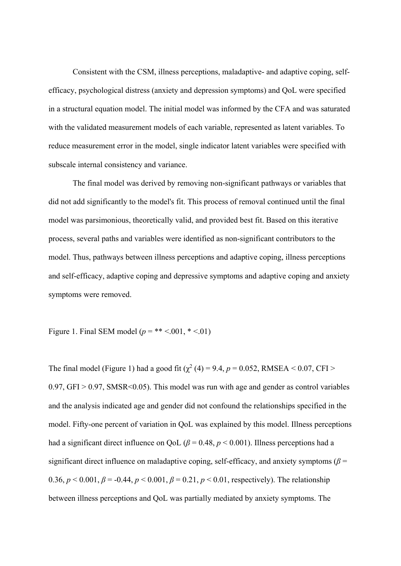Consistent with the CSM, illness perceptions, maladaptive- and adaptive coping, selfefficacy, psychological distress (anxiety and depression symptoms) and QoL were specified in a structural equation model. The initial model was informed by the CFA and was saturated with the validated measurement models of each variable, represented as latent variables. To reduce measurement error in the model, single indicator latent variables were specified with subscale internal consistency and variance.

The final model was derived by removing non-significant pathways or variables that did not add significantly to the model's fit. This process of removal continued until the final model was parsimonious, theoretically valid, and provided best fit. Based on this iterative process, several paths and variables were identified as non-significant contributors to the model. Thus, pathways between illness perceptions and adaptive coping, illness perceptions and self-efficacy, adaptive coping and depressive symptoms and adaptive coping and anxiety symptoms were removed.

Figure 1. Final SEM model  $(p = ** < .001, * < .01)$ 

The final model (Figure 1) had a good fit  $(\chi^2(4) = 9.4, p = 0.052, RMSEA < 0.07, CFI >$  $0.97$ , GFI  $> 0.97$ , SMSR  $\leq 0.05$ ). This model was run with age and gender as control variables and the analysis indicated age and gender did not confound the relationships specified in the model. Fifty-one percent of variation in QoL was explained by this model. Illness perceptions had a significant direct influence on QoL ( $\beta$  = 0.48,  $p$  < 0.001). Illness perceptions had a significant direct influence on maladaptive coping, self-efficacy, and anxiety symptoms ( $\beta$  = 0.36,  $p < 0.001$ ,  $\beta = -0.44$ ,  $p < 0.001$ ,  $\beta = 0.21$ ,  $p < 0.01$ , respectively). The relationship between illness perceptions and QoL was partially mediated by anxiety symptoms. The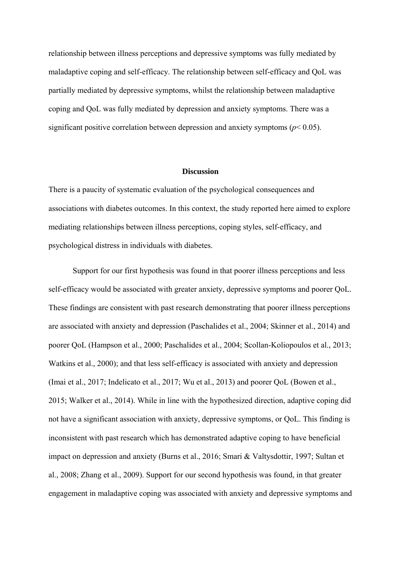relationship between illness perceptions and depressive symptoms was fully mediated by maladaptive coping and self-efficacy. The relationship between self-efficacy and QoL was partially mediated by depressive symptoms, whilst the relationship between maladaptive coping and QoL was fully mediated by depression and anxiety symptoms. There was a significant positive correlation between depression and anxiety symptoms ( $p$ < 0.05).

#### **Discussion**

There is a paucity of systematic evaluation of the psychological consequences and associations with diabetes outcomes. In this context, the study reported here aimed to explore mediating relationships between illness perceptions, coping styles, self-efficacy, and psychological distress in individuals with diabetes.

Support for our first hypothesis was found in that poorer illness perceptions and less self-efficacy would be associated with greater anxiety, depressive symptoms and poorer QoL. These findings are consistent with past research demonstrating that poorer illness perceptions are associated with anxiety and depression (Paschalides et al., 2004; Skinner et al., 2014) and poorer QoL (Hampson et al., 2000; Paschalides et al., 2004; Scollan-Koliopoulos et al., 2013; Watkins et al., 2000); and that less self-efficacy is associated with anxiety and depression (Imai et al., 2017; Indelicato et al., 2017; Wu et al., 2013) and poorer QoL (Bowen et al., 2015; Walker et al., 2014). While in line with the hypothesized direction, adaptive coping did not have a significant association with anxiety, depressive symptoms, or QoL. This finding is inconsistent with past research which has demonstrated adaptive coping to have beneficial impact on depression and anxiety (Burns et al., 2016; Smari & Valtysdottir, 1997; Sultan et al., 2008; Zhang et al., 2009). Support for our second hypothesis was found, in that greater engagement in maladaptive coping was associated with anxiety and depressive symptoms and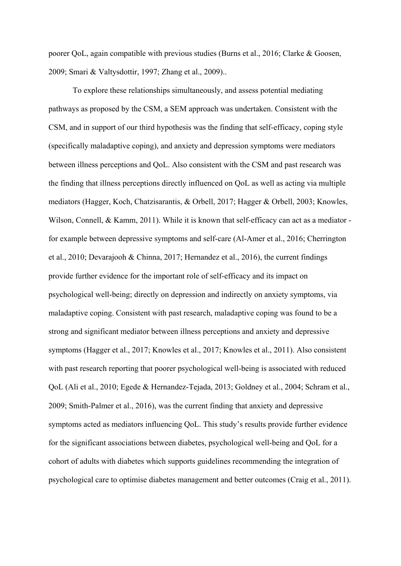poorer QoL, again compatible with previous studies (Burns et al., 2016; Clarke & Goosen, 2009; Smari & Valtysdottir, 1997; Zhang et al., 2009)..

To explore these relationships simultaneously, and assess potential mediating pathways as proposed by the CSM, a SEM approach was undertaken. Consistent with the CSM, and in support of our third hypothesis was the finding that self-efficacy, coping style (specifically maladaptive coping), and anxiety and depression symptoms were mediators between illness perceptions and QoL. Also consistent with the CSM and past research was the finding that illness perceptions directly influenced on QoL as well as acting via multiple mediators (Hagger, Koch, Chatzisarantis, & Orbell, 2017; Hagger & Orbell, 2003; Knowles, Wilson, Connell, & Kamm, 2011). While it is known that self-efficacy can act as a mediator for example between depressive symptoms and self-care (Al-Amer et al., 2016; Cherrington et al., 2010; Devarajooh & Chinna, 2017; Hernandez et al., 2016), the current findings provide further evidence for the important role of self-efficacy and its impact on psychological well-being; directly on depression and indirectly on anxiety symptoms, via maladaptive coping. Consistent with past research, maladaptive coping was found to be a strong and significant mediator between illness perceptions and anxiety and depressive symptoms (Hagger et al., 2017; Knowles et al., 2017; Knowles et al., 2011). Also consistent with past research reporting that poorer psychological well-being is associated with reduced QoL (Ali et al., 2010; Egede & Hernandez-Tejada, 2013; Goldney et al., 2004; Schram et al., 2009; Smith-Palmer et al., 2016), was the current finding that anxiety and depressive symptoms acted as mediators influencing QoL. This study's results provide further evidence for the significant associations between diabetes, psychological well-being and QoL for a cohort of adults with diabetes which supports guidelines recommending the integration of psychological care to optimise diabetes management and better outcomes (Craig et al., 2011).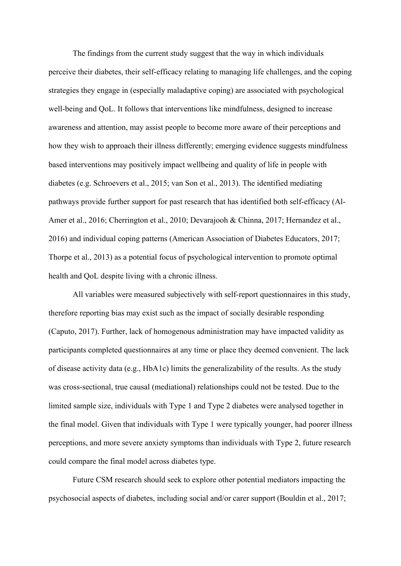The findings from the current study suggest that the way in which individuals perceive their diabetes, their self-efficacy relating to managing life challenges, and the coping strategies they engage in (especially maladaptive coping) are associated with psychological well-being and QoL. It follows that interventions like mindfulness, designed to increase awareness and attention, may assist people to become more aware of their perceptions and how they wish to approach their illness differently; emerging evidence suggests mindfulness based interventions may positively impact wellbeing and quality of life in people with diabetes (e.g. Schroevers et al., 2015; van Son et al., 2013). The identified mediating pathways provide further support for past research that has identified both self-efficacy (Al-Amer et al., 2016; Cherrington et al., 2010; Devarajooh & Chinna, 2017; Hernandez et al., 2016) and individual coping patterns (American Association of Diabetes Educators, 2017; Thorpe et al., 2013) as a potential focus of psychological intervention to promote optimal health and QoL despite living with a chronic illness.

All variables were measured subjectively with self-report questionnaires in this study, therefore reporting bias may exist such as the impact of socially desirable responding (Caputo, 2017). Further, lack of homogenous administration may have impacted validity as participants completed questionnaires at any time or place they deemed convenient. The lack of disease activity data (e.g., HbA1c) limits the generalizability of the results. As the study was cross-sectional, true causal (mediational) relationships could not be tested. Due to the limited sample size, individuals with Type 1 and Type 2 diabetes were analysed together in the final model. Given that individuals with Type 1 were typically younger, had poorer illness perceptions, and more severe anxiety symptoms than individuals with Type 2, future research could compare the final model across diabetes type.

Future CSM research should seek to explore other potential mediators impacting the psychosocial aspects of diabetes, including social and/or carer support (Bouldin et al., 2017;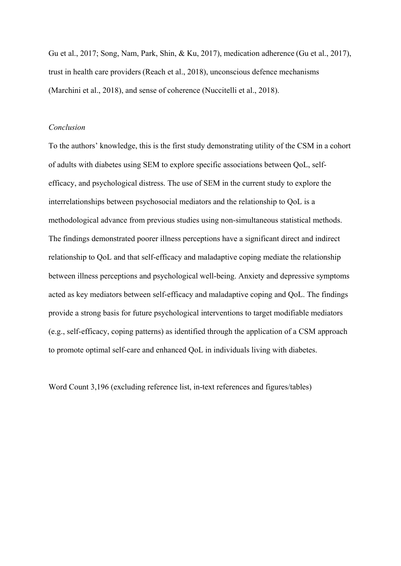Gu et al., 2017; Song, Nam, Park, Shin, & Ku, 2017), medication adherence (Gu et al., 2017), trust in health care providers (Reach et al., 2018), unconscious defence mechanisms (Marchini et al., 2018), and sense of coherence (Nuccitelli et al., 2018).

### *Conclusion*

To the authors' knowledge, this is the first study demonstrating utility of the CSM in a cohort of adults with diabetes using SEM to explore specific associations between QoL, selfefficacy, and psychological distress. The use of SEM in the current study to explore the interrelationships between psychosocial mediators and the relationship to QoL is a methodological advance from previous studies using non-simultaneous statistical methods. The findings demonstrated poorer illness perceptions have a significant direct and indirect relationship to QoL and that self-efficacy and maladaptive coping mediate the relationship between illness perceptions and psychological well-being. Anxiety and depressive symptoms acted as key mediators between self-efficacy and maladaptive coping and QoL. The findings provide a strong basis for future psychological interventions to target modifiable mediators (e.g., self-efficacy, coping patterns) as identified through the application of a CSM approach to promote optimal self-care and enhanced QoL in individuals living with diabetes.

Word Count 3,196 (excluding reference list, in-text references and figures/tables)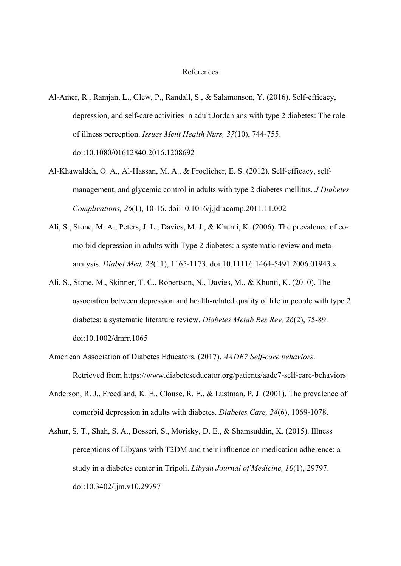#### References

- Al-Amer, R., Ramjan, L., Glew, P., Randall, S., & Salamonson, Y. (2016). Self-efficacy, depression, and self-care activities in adult Jordanians with type 2 diabetes: The role of illness perception. *Issues Ment Health Nurs, 37*(10), 744-755. doi:10.1080/01612840.2016.1208692
- Al-Khawaldeh, O. A., Al-Hassan, M. A., & Froelicher, E. S. (2012). Self-efficacy, selfmanagement, and glycemic control in adults with type 2 diabetes mellitus. *J Diabetes Complications, 26*(1), 10-16. doi:10.1016/j.jdiacomp.2011.11.002
- Ali, S., Stone, M. A., Peters, J. L., Davies, M. J., & Khunti, K. (2006). The prevalence of comorbid depression in adults with Type 2 diabetes: a systematic review and metaanalysis. *Diabet Med, 23*(11), 1165-1173. doi:10.1111/j.1464-5491.2006.01943.x
- Ali, S., Stone, M., Skinner, T. C., Robertson, N., Davies, M., & Khunti, K. (2010). The association between depression and health-related quality of life in people with type 2 diabetes: a systematic literature review. *Diabetes Metab Res Rev, 26*(2), 75-89. doi:10.1002/dmrr.1065
- American Association of Diabetes Educators. (2017). *AADE7 Self-care behaviors*. Retrieved from https://www.diabeteseducator.org/patients/aade7-self-care-behaviors
- Anderson, R. J., Freedland, K. E., Clouse, R. E., & Lustman, P. J. (2001). The prevalence of comorbid depression in adults with diabetes. *Diabetes Care, 24*(6), 1069-1078.
- Ashur, S. T., Shah, S. A., Bosseri, S., Morisky, D. E., & Shamsuddin, K. (2015). Illness perceptions of Libyans with T2DM and their influence on medication adherence: a study in a diabetes center in Tripoli. *Libyan Journal of Medicine, 10*(1), 29797. doi:10.3402/ljm.v10.29797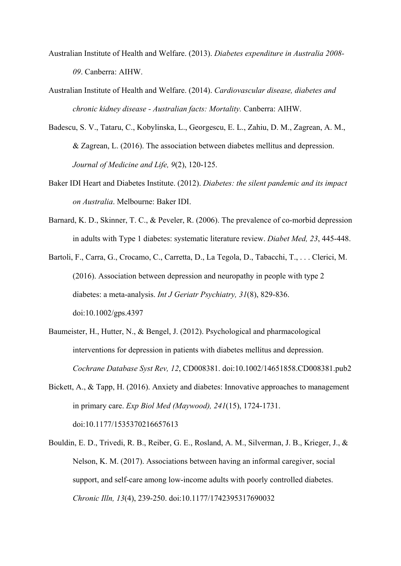- Australian Institute of Health and Welfare. (2013). *Diabetes expenditure in Australia 2008- 09*. Canberra: AIHW.
- Australian Institute of Health and Welfare. (2014). *Cardiovascular disease, diabetes and chronic kidney disease - Australian facts: Mortality.* Canberra: AIHW.
- Badescu, S. V., Tataru, C., Kobylinska, L., Georgescu, E. L., Zahiu, D. M., Zagrean, A. M., & Zagrean, L. (2016). The association between diabetes mellitus and depression. *Journal of Medicine and Life, 9*(2), 120-125.
- Baker IDI Heart and Diabetes Institute. (2012). *Diabetes: the silent pandemic and its impact on Australia*. Melbourne: Baker IDI.
- Barnard, K. D., Skinner, T. C., & Peveler, R. (2006). The prevalence of co-morbid depression in adults with Type 1 diabetes: systematic literature review. *Diabet Med, 23*, 445-448.
- Bartoli, F., Carra, G., Crocamo, C., Carretta, D., La Tegola, D., Tabacchi, T., . . . Clerici, M. (2016). Association between depression and neuropathy in people with type 2 diabetes: a meta-analysis. *Int J Geriatr Psychiatry, 31*(8), 829-836. doi:10.1002/gps.4397
- Baumeister, H., Hutter, N., & Bengel, J. (2012). Psychological and pharmacological interventions for depression in patients with diabetes mellitus and depression. *Cochrane Database Syst Rev, 12*, CD008381. doi:10.1002/14651858.CD008381.pub2
- Bickett, A., & Tapp, H. (2016). Anxiety and diabetes: Innovative approaches to management in primary care. *Exp Biol Med (Maywood), 241*(15), 1724-1731. doi:10.1177/1535370216657613
- Bouldin, E. D., Trivedi, R. B., Reiber, G. E., Rosland, A. M., Silverman, J. B., Krieger, J., & Nelson, K. M. (2017). Associations between having an informal caregiver, social support, and self-care among low-income adults with poorly controlled diabetes. *Chronic Illn, 13*(4), 239-250. doi:10.1177/1742395317690032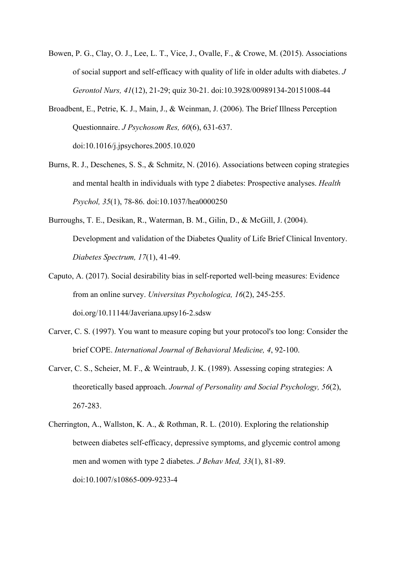- Bowen, P. G., Clay, O. J., Lee, L. T., Vice, J., Ovalle, F., & Crowe, M. (2015). Associations of social support and self-efficacy with quality of life in older adults with diabetes. *J Gerontol Nurs, 41*(12), 21-29; quiz 30-21. doi:10.3928/00989134-20151008-44
- Broadbent, E., Petrie, K. J., Main, J., & Weinman, J. (2006). The Brief Illness Perception Questionnaire. *J Psychosom Res, 60*(6), 631-637. doi:10.1016/j.jpsychores.2005.10.020
- Burns, R. J., Deschenes, S. S., & Schmitz, N. (2016). Associations between coping strategies and mental health in individuals with type 2 diabetes: Prospective analyses. *Health Psychol, 35*(1), 78-86. doi:10.1037/hea0000250
- Burroughs, T. E., Desikan, R., Waterman, B. M., Gilin, D., & McGill, J. (2004). Development and validation of the Diabetes Quality of Life Brief Clinical Inventory. *Diabetes Spectrum, 17*(1), 41-49.
- Caputo, A. (2017). Social desirability bias in self-reported well-being measures: Evidence from an online survey. *Universitas Psychologica, 16*(2), 245-255. doi.org/10.11144/Javeriana.upsy16-2.sdsw
- Carver, C. S. (1997). You want to measure coping but your protocol's too long: Consider the brief COPE. *International Journal of Behavioral Medicine, 4*, 92-100.
- Carver, C. S., Scheier, M. F., & Weintraub, J. K. (1989). Assessing coping strategies: A theoretically based approach. *Journal of Personality and Social Psychology, 56*(2), 267-283.
- Cherrington, A., Wallston, K. A., & Rothman, R. L. (2010). Exploring the relationship between diabetes self-efficacy, depressive symptoms, and glycemic control among men and women with type 2 diabetes. *J Behav Med, 33*(1), 81-89. doi:10.1007/s10865-009-9233-4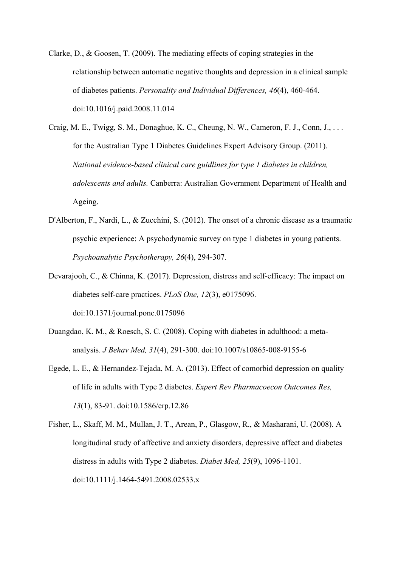- Clarke, D., & Goosen, T. (2009). The mediating effects of coping strategies in the relationship between automatic negative thoughts and depression in a clinical sample of diabetes patients. *Personality and Individual Differences, 46*(4), 460-464. doi:10.1016/j.paid.2008.11.014
- Craig, M. E., Twigg, S. M., Donaghue, K. C., Cheung, N. W., Cameron, F. J., Conn, J., . . . for the Australian Type 1 Diabetes Guidelines Expert Advisory Group. (2011). *National evidence-based clinical care guidlines for type 1 diabetes in children, adolescents and adults.* Canberra: Australian Government Department of Health and Ageing.
- D'Alberton, F., Nardi, L., & Zucchini, S. (2012). The onset of a chronic disease as a traumatic psychic experience: A psychodynamic survey on type 1 diabetes in young patients. *Psychoanalytic Psychotherapy, 26*(4), 294-307.
- Devarajooh, C., & Chinna, K. (2017). Depression, distress and self-efficacy: The impact on diabetes self-care practices. *PLoS One, 12*(3), e0175096. doi:10.1371/journal.pone.0175096
- Duangdao, K. M., & Roesch, S. C. (2008). Coping with diabetes in adulthood: a metaanalysis. *J Behav Med, 31*(4), 291-300. doi:10.1007/s10865-008-9155-6
- Egede, L. E., & Hernandez-Tejada, M. A. (2013). Effect of comorbid depression on quality of life in adults with Type 2 diabetes. *Expert Rev Pharmacoecon Outcomes Res, 13*(1), 83-91. doi:10.1586/erp.12.86
- Fisher, L., Skaff, M. M., Mullan, J. T., Arean, P., Glasgow, R., & Masharani, U. (2008). A longitudinal study of affective and anxiety disorders, depressive affect and diabetes distress in adults with Type 2 diabetes. *Diabet Med, 25*(9), 1096-1101. doi:10.1111/j.1464-5491.2008.02533.x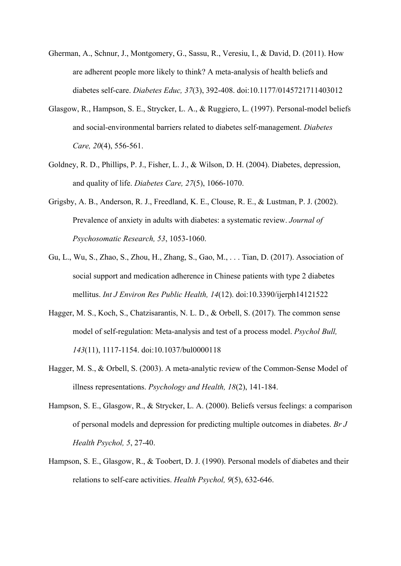- Gherman, A., Schnur, J., Montgomery, G., Sassu, R., Veresiu, I., & David, D. (2011). How are adherent people more likely to think? A meta-analysis of health beliefs and diabetes self-care. *Diabetes Educ, 37*(3), 392-408. doi:10.1177/0145721711403012
- Glasgow, R., Hampson, S. E., Strycker, L. A., & Ruggiero, L. (1997). Personal-model beliefs and social-environmental barriers related to diabetes self-management. *Diabetes Care, 20*(4), 556-561.
- Goldney, R. D., Phillips, P. J., Fisher, L. J., & Wilson, D. H. (2004). Diabetes, depression, and quality of life. *Diabetes Care, 27*(5), 1066-1070.
- Grigsby, A. B., Anderson, R. J., Freedland, K. E., Clouse, R. E., & Lustman, P. J. (2002). Prevalence of anxiety in adults with diabetes: a systematic review. *Journal of Psychosomatic Research, 53*, 1053-1060.
- Gu, L., Wu, S., Zhao, S., Zhou, H., Zhang, S., Gao, M., . . . Tian, D. (2017). Association of social support and medication adherence in Chinese patients with type 2 diabetes mellitus. *Int J Environ Res Public Health, 14*(12). doi:10.3390/ijerph14121522
- Hagger, M. S., Koch, S., Chatzisarantis, N. L. D., & Orbell, S. (2017). The common sense model of self-regulation: Meta-analysis and test of a process model. *Psychol Bull, 143*(11), 1117-1154. doi:10.1037/bul0000118
- Hagger, M. S., & Orbell, S. (2003). A meta-analytic review of the Common-Sense Model of illness representations. *Psychology and Health, 18*(2), 141-184.
- Hampson, S. E., Glasgow, R., & Strycker, L. A. (2000). Beliefs versus feelings: a comparison of personal models and depression for predicting multiple outcomes in diabetes. *Br J Health Psychol, 5*, 27-40.
- Hampson, S. E., Glasgow, R., & Toobert, D. J. (1990). Personal models of diabetes and their relations to self-care activities. *Health Psychol, 9*(5), 632-646.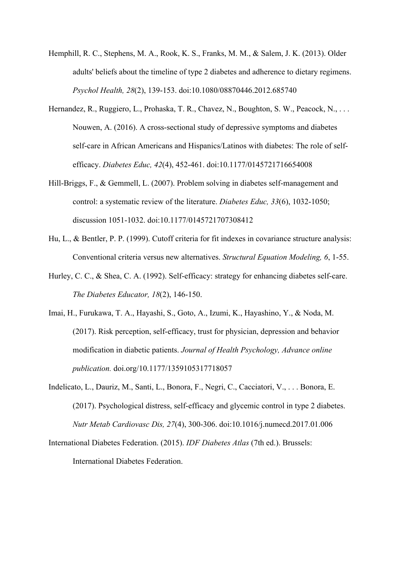- Hemphill, R. C., Stephens, M. A., Rook, K. S., Franks, M. M., & Salem, J. K. (2013). Older adults' beliefs about the timeline of type 2 diabetes and adherence to dietary regimens. *Psychol Health, 28*(2), 139-153. doi:10.1080/08870446.2012.685740
- Hernandez, R., Ruggiero, L., Prohaska, T. R., Chavez, N., Boughton, S. W., Peacock, N., ... Nouwen, A. (2016). A cross-sectional study of depressive symptoms and diabetes self-care in African Americans and Hispanics/Latinos with diabetes: The role of selfefficacy. *Diabetes Educ, 42*(4), 452-461. doi:10.1177/0145721716654008
- Hill-Briggs, F., & Gemmell, L. (2007). Problem solving in diabetes self-management and control: a systematic review of the literature. *Diabetes Educ, 33*(6), 1032-1050; discussion 1051-1032. doi:10.1177/0145721707308412
- Hu, L., & Bentler, P. P. (1999). Cutoff criteria for fit indexes in covariance structure analysis: Conventional criteria versus new alternatives. *Structural Equation Modeling, 6*, 1-55.
- Hurley, C. C., & Shea, C. A. (1992). Self-efficacy: strategy for enhancing diabetes self-care. *The Diabetes Educator, 18*(2), 146-150.
- Imai, H., Furukawa, T. A., Hayashi, S., Goto, A., Izumi, K., Hayashino, Y., & Noda, M. (2017). Risk perception, self-efficacy, trust for physician, depression and behavior modification in diabetic patients. *Journal of Health Psychology, Advance online publication.* doi.org/10.1177/1359105317718057
- Indelicato, L., Dauriz, M., Santi, L., Bonora, F., Negri, C., Cacciatori, V., . . . Bonora, E. (2017). Psychological distress, self-efficacy and glycemic control in type 2 diabetes. *Nutr Metab Cardiovasc Dis, 27*(4), 300-306. doi:10.1016/j.numecd.2017.01.006
- International Diabetes Federation. (2015). *IDF Diabetes Atlas* (7th ed.). Brussels: International Diabetes Federation.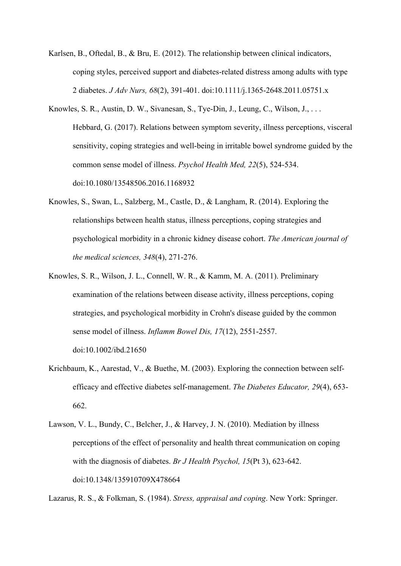- Karlsen, B., Oftedal, B., & Bru, E. (2012). The relationship between clinical indicators, coping styles, perceived support and diabetes-related distress among adults with type 2 diabetes. *J Adv Nurs, 68*(2), 391-401. doi:10.1111/j.1365-2648.2011.05751.x
- Knowles, S. R., Austin, D. W., Sivanesan, S., Tye-Din, J., Leung, C., Wilson, J., . . . Hebbard, G. (2017). Relations between symptom severity, illness perceptions, visceral sensitivity, coping strategies and well-being in irritable bowel syndrome guided by the common sense model of illness. *Psychol Health Med, 22*(5), 524-534. doi:10.1080/13548506.2016.1168932
- Knowles, S., Swan, L., Salzberg, M., Castle, D., & Langham, R. (2014). Exploring the relationships between health status, illness perceptions, coping strategies and psychological morbidity in a chronic kidney disease cohort. *The American journal of the medical sciences, 348*(4), 271-276.
- Knowles, S. R., Wilson, J. L., Connell, W. R., & Kamm, M. A. (2011). Preliminary examination of the relations between disease activity, illness perceptions, coping strategies, and psychological morbidity in Crohn's disease guided by the common sense model of illness. *Inflamm Bowel Dis, 17*(12), 2551-2557. doi:10.1002/ibd.21650
- Krichbaum, K., Aarestad, V., & Buethe, M. (2003). Exploring the connection between selfefficacy and effective diabetes self-management. *The Diabetes Educator, 29*(4), 653- 662.
- Lawson, V. L., Bundy, C., Belcher, J., & Harvey, J. N. (2010). Mediation by illness perceptions of the effect of personality and health threat communication on coping with the diagnosis of diabetes. *Br J Health Psychol, 15*(Pt 3), 623-642. doi:10.1348/135910709X478664

Lazarus, R. S., & Folkman, S. (1984). *Stress, appraisal and coping*. New York: Springer.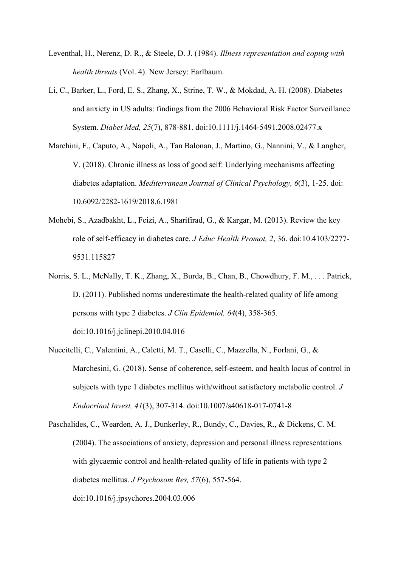- Leventhal, H., Nerenz, D. R., & Steele, D. J. (1984). *Illness representation and coping with health threats* (Vol. 4). New Jersey: Earlbaum.
- Li, C., Barker, L., Ford, E. S., Zhang, X., Strine, T. W., & Mokdad, A. H. (2008). Diabetes and anxiety in US adults: findings from the 2006 Behavioral Risk Factor Surveillance System. *Diabet Med, 25*(7), 878-881. doi:10.1111/j.1464-5491.2008.02477.x
- Marchini, F., Caputo, A., Napoli, A., Tan Balonan, J., Martino, G., Nannini, V., & Langher, V. (2018). Chronic illness as loss of good self: Underlying mechanisms affecting diabetes adaptation. *Mediterranean Journal of Clinical Psychology, 6*(3), 1-25. doi: 10.6092/2282-1619/2018.6.1981
- Mohebi, S., Azadbakht, L., Feizi, A., Sharifirad, G., & Kargar, M. (2013). Review the key role of self-efficacy in diabetes care. *J Educ Health Promot, 2*, 36. doi:10.4103/2277- 9531.115827
- Norris, S. L., McNally, T. K., Zhang, X., Burda, B., Chan, B., Chowdhury, F. M., . . . Patrick, D. (2011). Published norms underestimate the health-related quality of life among persons with type 2 diabetes. *J Clin Epidemiol, 64*(4), 358-365. doi:10.1016/j.jclinepi.2010.04.016
- Nuccitelli, C., Valentini, A., Caletti, M. T., Caselli, C., Mazzella, N., Forlani, G., & Marchesini, G. (2018). Sense of coherence, self-esteem, and health locus of control in subjects with type 1 diabetes mellitus with/without satisfactory metabolic control. *J Endocrinol Invest, 41*(3), 307-314. doi:10.1007/s40618-017-0741-8
- Paschalides, C., Wearden, A. J., Dunkerley, R., Bundy, C., Davies, R., & Dickens, C. M. (2004). The associations of anxiety, depression and personal illness representations with glycaemic control and health-related quality of life in patients with type 2 diabetes mellitus. *J Psychosom Res, 57*(6), 557-564. doi:10.1016/j.jpsychores.2004.03.006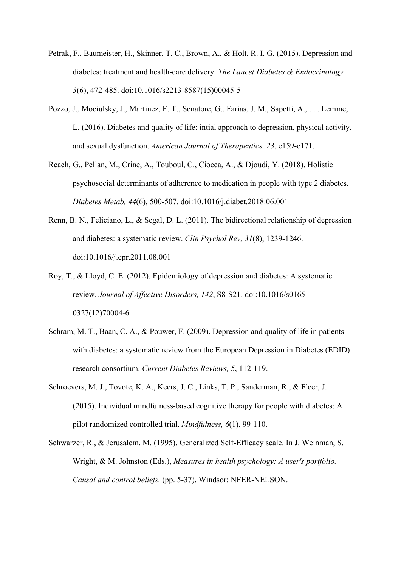- Petrak, F., Baumeister, H., Skinner, T. C., Brown, A., & Holt, R. I. G. (2015). Depression and diabetes: treatment and health-care delivery. *The Lancet Diabetes & Endocrinology, 3*(6), 472-485. doi:10.1016/s2213-8587(15)00045-5
- Pozzo, J., Mociulsky, J., Martinez, E. T., Senatore, G., Farias, J. M., Sapetti, A., . . . Lemme, L. (2016). Diabetes and quality of life: intial approach to depression, physical activity, and sexual dysfunction. *American Journal of Therapeutics, 23*, e159-e171.
- Reach, G., Pellan, M., Crine, A., Touboul, C., Ciocca, A., & Djoudi, Y. (2018). Holistic psychosocial determinants of adherence to medication in people with type 2 diabetes. *Diabetes Metab, 44*(6), 500-507. doi:10.1016/j.diabet.2018.06.001
- Renn, B. N., Feliciano, L., & Segal, D. L. (2011). The bidirectional relationship of depression and diabetes: a systematic review. *Clin Psychol Rev, 31*(8), 1239-1246. doi:10.1016/j.cpr.2011.08.001
- Roy, T., & Lloyd, C. E. (2012). Epidemiology of depression and diabetes: A systematic review. *Journal of Affective Disorders, 142*, S8-S21. doi:10.1016/s0165- 0327(12)70004-6
- Schram, M. T., Baan, C. A., & Pouwer, F. (2009). Depression and quality of life in patients with diabetes: a systematic review from the European Depression in Diabetes (EDID) research consortium. *Current Diabetes Reviews, 5*, 112-119.
- Schroevers, M. J., Tovote, K. A., Keers, J. C., Links, T. P., Sanderman, R., & Fleer, J. (2015). Individual mindfulness-based cognitive therapy for people with diabetes: A pilot randomized controlled trial. *Mindfulness, 6*(1), 99-110.
- Schwarzer, R., & Jerusalem, M. (1995). Generalized Self-Efficacy scale. In J. Weinman, S. Wright, & M. Johnston (Eds.), *Measures in health psychology: A user's portfolio. Causal and control beliefs.* (pp. 5-37). Windsor: NFER-NELSON.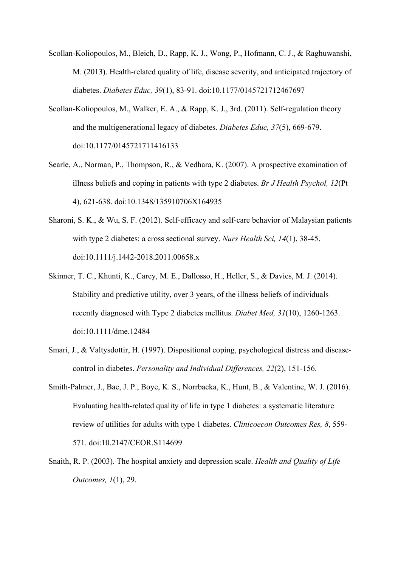- Scollan-Koliopoulos, M., Bleich, D., Rapp, K. J., Wong, P., Hofmann, C. J., & Raghuwanshi, M. (2013). Health-related quality of life, disease severity, and anticipated trajectory of diabetes. *Diabetes Educ, 39*(1), 83-91. doi:10.1177/0145721712467697
- Scollan-Koliopoulos, M., Walker, E. A., & Rapp, K. J., 3rd. (2011). Self-regulation theory and the multigenerational legacy of diabetes. *Diabetes Educ, 37*(5), 669-679. doi:10.1177/0145721711416133
- Searle, A., Norman, P., Thompson, R., & Vedhara, K. (2007). A prospective examination of illness beliefs and coping in patients with type 2 diabetes. *Br J Health Psychol, 12*(Pt 4), 621-638. doi:10.1348/135910706X164935
- Sharoni, S. K., & Wu, S. F. (2012). Self-efficacy and self-care behavior of Malaysian patients with type 2 diabetes: a cross sectional survey. *Nurs Health Sci, 14*(1), 38-45. doi:10.1111/j.1442-2018.2011.00658.x
- Skinner, T. C., Khunti, K., Carey, M. E., Dallosso, H., Heller, S., & Davies, M. J. (2014). Stability and predictive utility, over 3 years, of the illness beliefs of individuals recently diagnosed with Type 2 diabetes mellitus. *Diabet Med, 31*(10), 1260-1263. doi:10.1111/dme.12484
- Smari, J., & Valtysdottir, H. (1997). Dispositional coping, psychological distress and diseasecontrol in diabetes. *Personality and Individual Differences, 22*(2), 151-156.
- Smith-Palmer, J., Bae, J. P., Boye, K. S., Norrbacka, K., Hunt, B., & Valentine, W. J. (2016). Evaluating health-related quality of life in type 1 diabetes: a systematic literature review of utilities for adults with type 1 diabetes. *Clinicoecon Outcomes Res, 8*, 559- 571. doi:10.2147/CEOR.S114699
- Snaith, R. P. (2003). The hospital anxiety and depression scale. *Health and Quality of Life Outcomes, 1*(1), 29.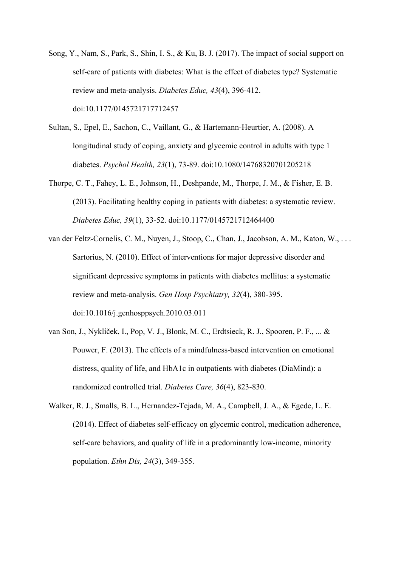- Song, Y., Nam, S., Park, S., Shin, I. S., & Ku, B. J. (2017). The impact of social support on self-care of patients with diabetes: What is the effect of diabetes type? Systematic review and meta-analysis. *Diabetes Educ, 43*(4), 396-412. doi:10.1177/0145721717712457
- Sultan, S., Epel, E., Sachon, C., Vaillant, G., & Hartemann-Heurtier, A. (2008). A longitudinal study of coping, anxiety and glycemic control in adults with type 1 diabetes. *Psychol Health, 23*(1), 73-89. doi:10.1080/14768320701205218
- Thorpe, C. T., Fahey, L. E., Johnson, H., Deshpande, M., Thorpe, J. M., & Fisher, E. B. (2013). Facilitating healthy coping in patients with diabetes: a systematic review. *Diabetes Educ, 39*(1), 33-52. doi:10.1177/0145721712464400
- van der Feltz-Cornelis, C. M., Nuyen, J., Stoop, C., Chan, J., Jacobson, A. M., Katon, W., . . . Sartorius, N. (2010). Effect of interventions for major depressive disorder and significant depressive symptoms in patients with diabetes mellitus: a systematic review and meta-analysis. *Gen Hosp Psychiatry, 32*(4), 380-395. doi:10.1016/j.genhosppsych.2010.03.011
- van Son, J., Nyklíček, I., Pop, V. J., Blonk, M. C., Erdtsieck, R. J., Spooren, P. F., ... & Pouwer, F. (2013). The effects of a mindfulness-based intervention on emotional distress, quality of life, and HbA1c in outpatients with diabetes (DiaMind): a randomized controlled trial. *Diabetes Care, 36*(4), 823-830.
- Walker, R. J., Smalls, B. L., Hernandez-Tejada, M. A., Campbell, J. A., & Egede, L. E. (2014). Effect of diabetes self-efficacy on glycemic control, medication adherence, self-care behaviors, and quality of life in a predominantly low-income, minority population. *Ethn Dis, 24*(3), 349-355.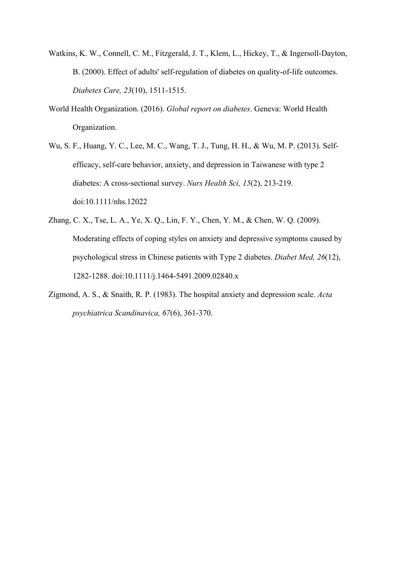- Watkins, K. W., Connell, C. M., Fitzgerald, J. T., Klem, L., Hickey, T., & Ingersoll-Dayton, B. (2000). Effect of adults' self-regulation of diabetes on quality-of-life outcomes. *Diabetes Care, 23*(10), 1511-1515.
- World Health Organization. (2016). *Global report on diabetes*. Geneva: World Health Organization.
- Wu, S. F., Huang, Y. C., Lee, M. C., Wang, T. J., Tung, H. H., & Wu, M. P. (2013). Selfefficacy, self-care behavior, anxiety, and depression in Taiwanese with type 2 diabetes: A cross-sectional survey. *Nurs Health Sci, 15*(2), 213-219. doi:10.1111/nhs.12022
- Zhang, C. X., Tse, L. A., Ye, X. Q., Lin, F. Y., Chen, Y. M., & Chen, W. Q. (2009). Moderating effects of coping styles on anxiety and depressive symptoms caused by psychological stress in Chinese patients with Type 2 diabetes. *Diabet Med, 26*(12), 1282-1288. doi:10.1111/j.1464-5491.2009.02840.x
- Zigmond, A. S., & Snaith, R. P. (1983). The hospital anxiety and depression scale. *Acta psychiatrica Scandinavica, 67*(6), 361-370.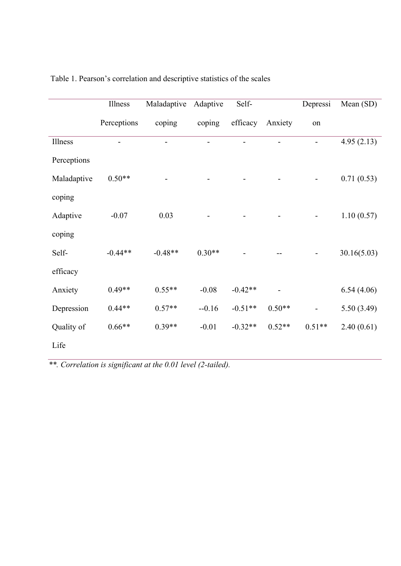|             | Illness     | Maladaptive | Adaptive | Self-     |          | Depressi | Mean $(SD)$ |
|-------------|-------------|-------------|----------|-----------|----------|----------|-------------|
|             | Perceptions | coping      | coping   | efficacy  | Anxiety  | on       |             |
| Illness     |             |             |          |           |          |          | 4.95(2.13)  |
| Perceptions |             |             |          |           |          |          |             |
| Maladaptive | $0.50**$    |             |          |           |          |          | 0.71(0.53)  |
| coping      |             |             |          |           |          |          |             |
| Adaptive    | $-0.07$     | 0.03        |          |           |          |          | 1.10(0.57)  |
| coping      |             |             |          |           |          |          |             |
| Self-       | $-0.44**$   | $-0.48**$   | $0.30**$ |           |          |          | 30.16(5.03) |
| efficacy    |             |             |          |           |          |          |             |
| Anxiety     | $0.49**$    | $0.55**$    | $-0.08$  | $-0.42**$ |          |          | 6.54(4.06)  |
| Depression  | $0.44**$    | $0.57**$    | $-0.16$  | $-0.51**$ | $0.50**$ |          | 5.50(3.49)  |
| Quality of  | $0.66**$    | $0.39**$    | $-0.01$  | $-0.32**$ | $0.52**$ | $0.51**$ | 2.40(0.61)  |
| Life        |             |             |          |           |          |          |             |

Table 1. Pearson's correlation and descriptive statistics of the scales

*\*\*. Correlation is significant at the 0.01 level (2-tailed).*